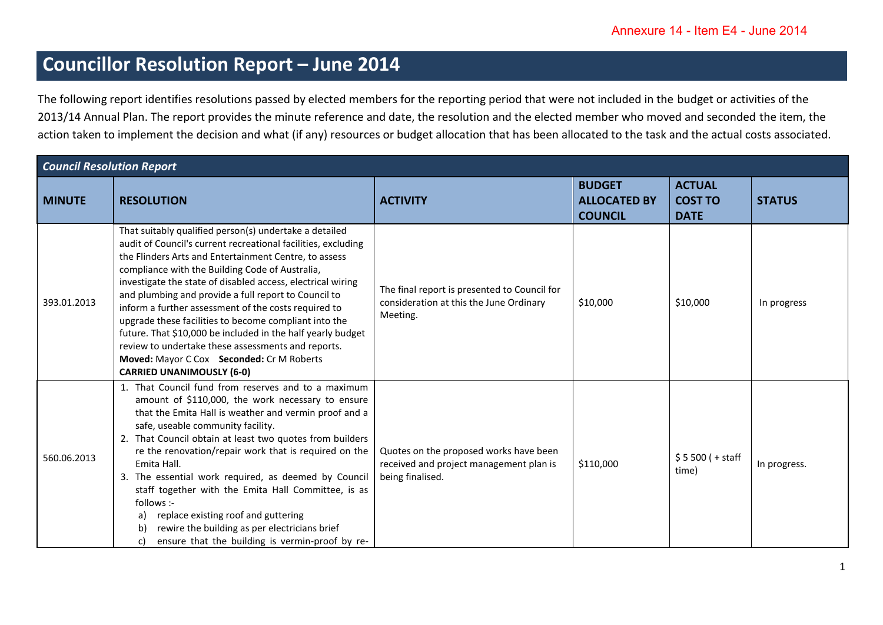## **Councillor Resolution Report – June 2014**

The following report identifies resolutions passed by elected members for the reporting period that were not included in the budget or activities of the 2013/14 Annual Plan. The report provides the minute reference and date, the resolution and the elected member who moved and seconded the item, the action taken to implement the decision and what (if any) resources or budget allocation that has been allocated to the task and the actual costs associated.

| <b>Council Resolution Report</b> |                                                                                                                                                                                                                                                                                                                                                                                                                                                                                                                                                                                                                                                                                   |                                                                                                       |                                                        |                                                |               |  |
|----------------------------------|-----------------------------------------------------------------------------------------------------------------------------------------------------------------------------------------------------------------------------------------------------------------------------------------------------------------------------------------------------------------------------------------------------------------------------------------------------------------------------------------------------------------------------------------------------------------------------------------------------------------------------------------------------------------------------------|-------------------------------------------------------------------------------------------------------|--------------------------------------------------------|------------------------------------------------|---------------|--|
| <b>MINUTE</b>                    | <b>RESOLUTION</b>                                                                                                                                                                                                                                                                                                                                                                                                                                                                                                                                                                                                                                                                 | <b>ACTIVITY</b>                                                                                       | <b>BUDGET</b><br><b>ALLOCATED BY</b><br><b>COUNCIL</b> | <b>ACTUAL</b><br><b>COST TO</b><br><b>DATE</b> | <b>STATUS</b> |  |
| 393.01.2013                      | That suitably qualified person(s) undertake a detailed<br>audit of Council's current recreational facilities, excluding<br>the Flinders Arts and Entertainment Centre, to assess<br>compliance with the Building Code of Australia,<br>investigate the state of disabled access, electrical wiring<br>and plumbing and provide a full report to Council to<br>inform a further assessment of the costs required to<br>upgrade these facilities to become compliant into the<br>future. That \$10,000 be included in the half yearly budget<br>review to undertake these assessments and reports.<br>Moved: Mayor C Cox Seconded: Cr M Roberts<br><b>CARRIED UNANIMOUSLY (6-0)</b> | The final report is presented to Council for<br>consideration at this the June Ordinary<br>Meeting.   | \$10,000                                               | \$10,000                                       | In progress   |  |
| 560.06.2013                      | 1. That Council fund from reserves and to a maximum<br>amount of \$110,000, the work necessary to ensure<br>that the Emita Hall is weather and vermin proof and a<br>safe, useable community facility.<br>2. That Council obtain at least two quotes from builders<br>re the renovation/repair work that is required on the<br>Emita Hall.<br>3. The essential work required, as deemed by Council<br>staff together with the Emita Hall Committee, is as<br>follows :-<br>replace existing roof and guttering<br>a)<br>rewire the building as per electricians brief<br>b<br>ensure that the building is vermin-proof by re-<br>C)                                               | Quotes on the proposed works have been<br>received and project management plan is<br>being finalised. | \$110,000                                              | $$5500 (+ statf)$<br>time)                     | In progress.  |  |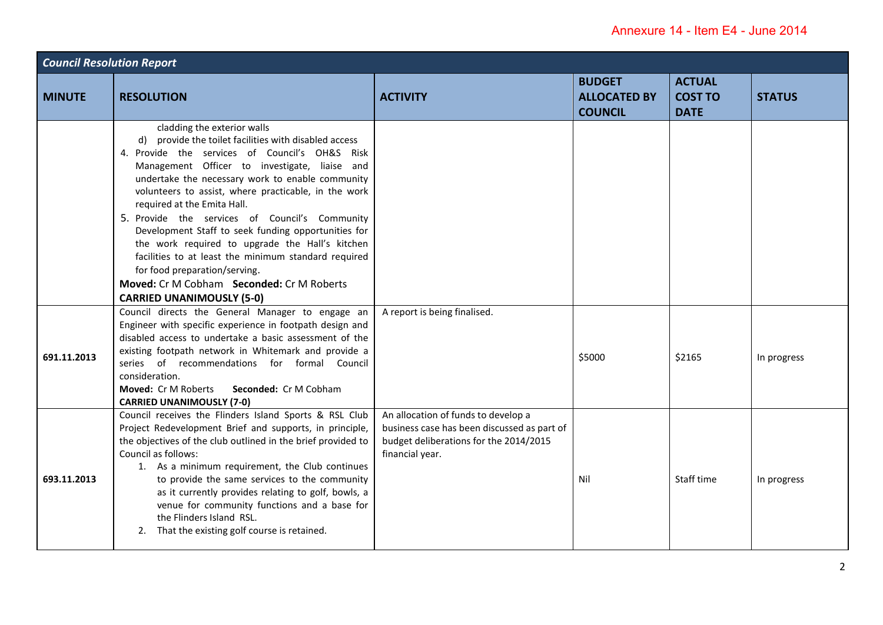| <b>Council Resolution Report</b> |                                                                                                                                                                                                                                                                                                                                                                                                                                                                                                                                                                                                                                                                          |                                                                                                                                                 |                                                        |                                                |               |  |
|----------------------------------|--------------------------------------------------------------------------------------------------------------------------------------------------------------------------------------------------------------------------------------------------------------------------------------------------------------------------------------------------------------------------------------------------------------------------------------------------------------------------------------------------------------------------------------------------------------------------------------------------------------------------------------------------------------------------|-------------------------------------------------------------------------------------------------------------------------------------------------|--------------------------------------------------------|------------------------------------------------|---------------|--|
| <b>MINUTE</b>                    | <b>RESOLUTION</b>                                                                                                                                                                                                                                                                                                                                                                                                                                                                                                                                                                                                                                                        | <b>ACTIVITY</b>                                                                                                                                 | <b>BUDGET</b><br><b>ALLOCATED BY</b><br><b>COUNCIL</b> | <b>ACTUAL</b><br><b>COST TO</b><br><b>DATE</b> | <b>STATUS</b> |  |
|                                  | cladding the exterior walls<br>d) provide the toilet facilities with disabled access<br>4. Provide the services of Council's OH&S Risk<br>Management Officer to investigate, liaise and<br>undertake the necessary work to enable community<br>volunteers to assist, where practicable, in the work<br>required at the Emita Hall.<br>5. Provide the services of Council's Community<br>Development Staff to seek funding opportunities for<br>the work required to upgrade the Hall's kitchen<br>facilities to at least the minimum standard required<br>for food preparation/serving.<br>Moved: Cr M Cobham Seconded: Cr M Roberts<br><b>CARRIED UNANIMOUSLY (5-0)</b> |                                                                                                                                                 |                                                        |                                                |               |  |
| 691.11.2013                      | Council directs the General Manager to engage an<br>Engineer with specific experience in footpath design and<br>disabled access to undertake a basic assessment of the<br>existing footpath network in Whitemark and provide a<br>series of recommendations for formal Council<br>consideration.<br>Moved: Cr M Roberts<br>Seconded: Cr M Cobham<br><b>CARRIED UNANIMOUSLY (7-0)</b>                                                                                                                                                                                                                                                                                     | A report is being finalised.                                                                                                                    | \$5000                                                 | \$2165                                         | In progress   |  |
| 693.11.2013                      | Council receives the Flinders Island Sports & RSL Club<br>Project Redevelopment Brief and supports, in principle,<br>the objectives of the club outlined in the brief provided to<br>Council as follows:<br>1. As a minimum requirement, the Club continues<br>to provide the same services to the community<br>as it currently provides relating to golf, bowls, a<br>venue for community functions and a base for<br>the Flinders Island RSL.<br>That the existing golf course is retained.<br>2.                                                                                                                                                                      | An allocation of funds to develop a<br>business case has been discussed as part of<br>budget deliberations for the 2014/2015<br>financial year. | Nil                                                    | Staff time                                     | In progress   |  |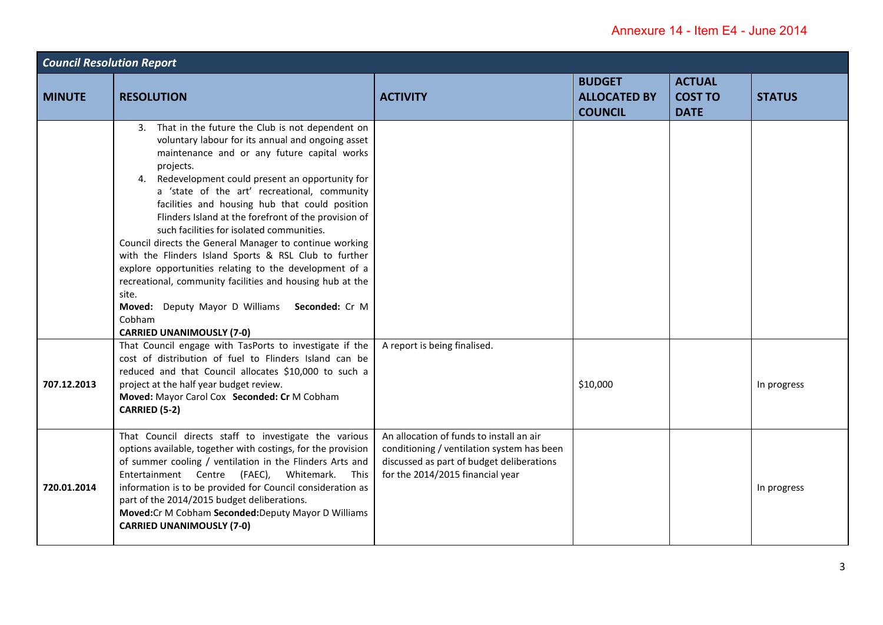| <b>Council Resolution Report</b> |                                                                                                                                                                                                                                                                                                                                                                                                                                                                                                                                                                                                                                                                                                                                                                                    |                                                                                                                                                                         |                                                        |                                                |               |  |
|----------------------------------|------------------------------------------------------------------------------------------------------------------------------------------------------------------------------------------------------------------------------------------------------------------------------------------------------------------------------------------------------------------------------------------------------------------------------------------------------------------------------------------------------------------------------------------------------------------------------------------------------------------------------------------------------------------------------------------------------------------------------------------------------------------------------------|-------------------------------------------------------------------------------------------------------------------------------------------------------------------------|--------------------------------------------------------|------------------------------------------------|---------------|--|
| <b>MINUTE</b>                    | <b>RESOLUTION</b>                                                                                                                                                                                                                                                                                                                                                                                                                                                                                                                                                                                                                                                                                                                                                                  | <b>ACTIVITY</b>                                                                                                                                                         | <b>BUDGET</b><br><b>ALLOCATED BY</b><br><b>COUNCIL</b> | <b>ACTUAL</b><br><b>COST TO</b><br><b>DATE</b> | <b>STATUS</b> |  |
|                                  | 3. That in the future the Club is not dependent on<br>voluntary labour for its annual and ongoing asset<br>maintenance and or any future capital works<br>projects.<br>4. Redevelopment could present an opportunity for<br>a 'state of the art' recreational, community<br>facilities and housing hub that could position<br>Flinders Island at the forefront of the provision of<br>such facilities for isolated communities.<br>Council directs the General Manager to continue working<br>with the Flinders Island Sports & RSL Club to further<br>explore opportunities relating to the development of a<br>recreational, community facilities and housing hub at the<br>site.<br>Moved: Deputy Mayor D Williams Seconded: Cr M<br>Cobham<br><b>CARRIED UNANIMOUSLY (7-0)</b> |                                                                                                                                                                         |                                                        |                                                |               |  |
| 707.12.2013                      | That Council engage with TasPorts to investigate if the<br>cost of distribution of fuel to Flinders Island can be<br>reduced and that Council allocates \$10,000 to such a<br>project at the half year budget review.<br>Moved: Mayor Carol Cox Seconded: Cr M Cobham<br>CARRIED (5-2)                                                                                                                                                                                                                                                                                                                                                                                                                                                                                             | A report is being finalised.                                                                                                                                            | \$10,000                                               |                                                | In progress   |  |
| 720.01.2014                      | That Council directs staff to investigate the various<br>options available, together with costings, for the provision<br>of summer cooling / ventilation in the Flinders Arts and<br>Entertainment Centre (FAEC), Whitemark.<br>This<br>information is to be provided for Council consideration as<br>part of the 2014/2015 budget deliberations.<br>Moved:Cr M Cobham Seconded:Deputy Mayor D Williams<br><b>CARRIED UNANIMOUSLY (7-0)</b>                                                                                                                                                                                                                                                                                                                                        | An allocation of funds to install an air<br>conditioning / ventilation system has been<br>discussed as part of budget deliberations<br>for the 2014/2015 financial year |                                                        |                                                | In progress   |  |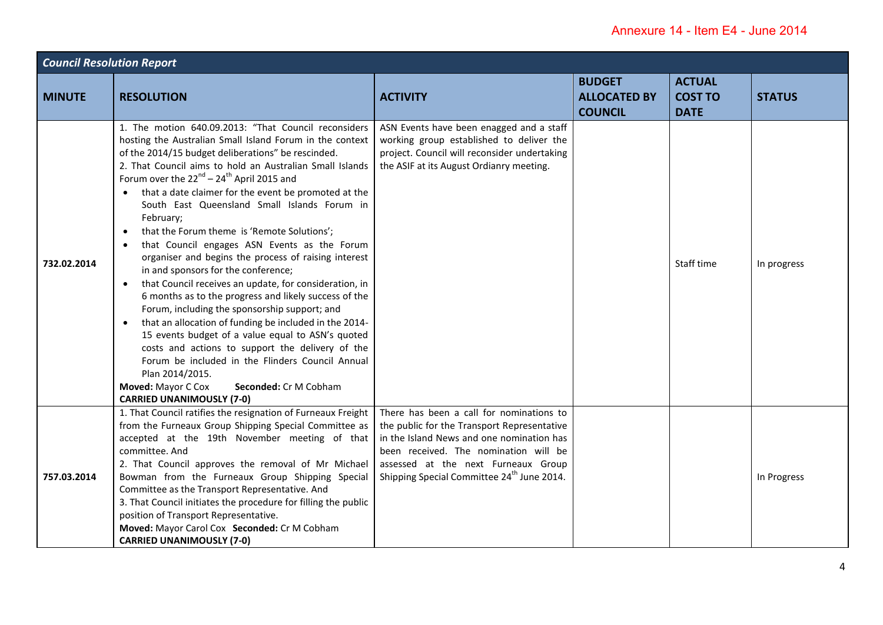| <b>Council Resolution Report</b> |                                                                                                                                                                                                                                                                                                                                                                                                                                                                                                                                                                                                                                                                                                                                                                                                                                                                                                                                                                                                                                                                                                                                                                     |                                                                                                                                                                                                                                                                                |                                                        |                                                |               |  |
|----------------------------------|---------------------------------------------------------------------------------------------------------------------------------------------------------------------------------------------------------------------------------------------------------------------------------------------------------------------------------------------------------------------------------------------------------------------------------------------------------------------------------------------------------------------------------------------------------------------------------------------------------------------------------------------------------------------------------------------------------------------------------------------------------------------------------------------------------------------------------------------------------------------------------------------------------------------------------------------------------------------------------------------------------------------------------------------------------------------------------------------------------------------------------------------------------------------|--------------------------------------------------------------------------------------------------------------------------------------------------------------------------------------------------------------------------------------------------------------------------------|--------------------------------------------------------|------------------------------------------------|---------------|--|
| <b>MINUTE</b>                    | <b>RESOLUTION</b>                                                                                                                                                                                                                                                                                                                                                                                                                                                                                                                                                                                                                                                                                                                                                                                                                                                                                                                                                                                                                                                                                                                                                   | <b>ACTIVITY</b>                                                                                                                                                                                                                                                                | <b>BUDGET</b><br><b>ALLOCATED BY</b><br><b>COUNCIL</b> | <b>ACTUAL</b><br><b>COST TO</b><br><b>DATE</b> | <b>STATUS</b> |  |
| 732.02.2014                      | 1. The motion 640.09.2013: "That Council reconsiders<br>hosting the Australian Small Island Forum in the context<br>of the 2014/15 budget deliberations" be rescinded.<br>2. That Council aims to hold an Australian Small Islands<br>Forum over the $22^{nd}$ – $24^{th}$ April 2015 and<br>• that a date claimer for the event be promoted at the<br>South East Queensland Small Islands Forum in<br>February;<br>that the Forum theme is 'Remote Solutions';<br>$\bullet$<br>that Council engages ASN Events as the Forum<br>$\bullet$<br>organiser and begins the process of raising interest<br>in and sponsors for the conference;<br>that Council receives an update, for consideration, in<br>$\bullet$<br>6 months as to the progress and likely success of the<br>Forum, including the sponsorship support; and<br>that an allocation of funding be included in the 2014-<br>$\bullet$<br>15 events budget of a value equal to ASN's quoted<br>costs and actions to support the delivery of the<br>Forum be included in the Flinders Council Annual<br>Plan 2014/2015.<br>Seconded: Cr M Cobham<br>Moved: Mayor C Cox<br><b>CARRIED UNANIMOUSLY (7-0)</b> | ASN Events have been enagged and a staff<br>working group established to deliver the<br>project. Council will reconsider undertaking<br>the ASIF at its August Ordianry meeting.                                                                                               |                                                        | Staff time                                     | In progress   |  |
| 757.03.2014                      | 1. That Council ratifies the resignation of Furneaux Freight<br>from the Furneaux Group Shipping Special Committee as<br>accepted at the 19th November meeting of that<br>committee. And<br>2. That Council approves the removal of Mr Michael<br>Bowman from the Furneaux Group Shipping Special<br>Committee as the Transport Representative. And<br>3. That Council initiates the procedure for filling the public<br>position of Transport Representative.<br>Moved: Mayor Carol Cox Seconded: Cr M Cobham<br><b>CARRIED UNANIMOUSLY (7-0)</b>                                                                                                                                                                                                                                                                                                                                                                                                                                                                                                                                                                                                                  | There has been a call for nominations to<br>the public for the Transport Representative<br>in the Island News and one nomination has<br>been received. The nomination will be<br>assessed at the next Furneaux Group<br>Shipping Special Committee 24 <sup>th</sup> June 2014. |                                                        |                                                | In Progress   |  |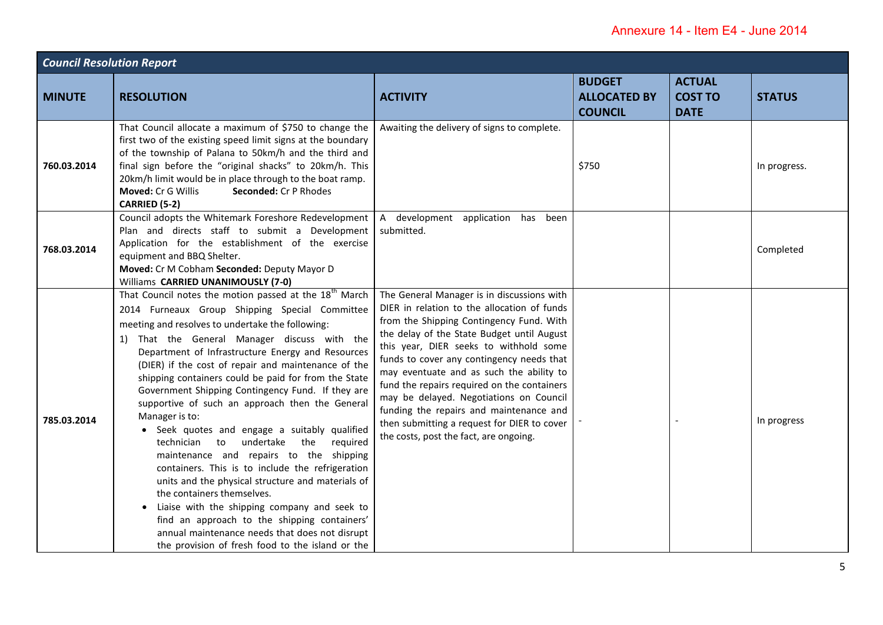| <b>Council Resolution Report</b> |                                                                                                                                                                                                                                                                                                                                                                                                                                                                                                                                                                                                                                                                                                                                                                                                                                                                                                                                                                                                                   |                                                                                                                                                                                                                                                                                                                                                                                                                                                                                                                                                      |                                                        |                                                |               |  |
|----------------------------------|-------------------------------------------------------------------------------------------------------------------------------------------------------------------------------------------------------------------------------------------------------------------------------------------------------------------------------------------------------------------------------------------------------------------------------------------------------------------------------------------------------------------------------------------------------------------------------------------------------------------------------------------------------------------------------------------------------------------------------------------------------------------------------------------------------------------------------------------------------------------------------------------------------------------------------------------------------------------------------------------------------------------|------------------------------------------------------------------------------------------------------------------------------------------------------------------------------------------------------------------------------------------------------------------------------------------------------------------------------------------------------------------------------------------------------------------------------------------------------------------------------------------------------------------------------------------------------|--------------------------------------------------------|------------------------------------------------|---------------|--|
| <b>MINUTE</b>                    | <b>RESOLUTION</b>                                                                                                                                                                                                                                                                                                                                                                                                                                                                                                                                                                                                                                                                                                                                                                                                                                                                                                                                                                                                 | <b>ACTIVITY</b>                                                                                                                                                                                                                                                                                                                                                                                                                                                                                                                                      | <b>BUDGET</b><br><b>ALLOCATED BY</b><br><b>COUNCIL</b> | <b>ACTUAL</b><br><b>COST TO</b><br><b>DATE</b> | <b>STATUS</b> |  |
| 760.03.2014                      | That Council allocate a maximum of \$750 to change the<br>first two of the existing speed limit signs at the boundary<br>of the township of Palana to 50km/h and the third and<br>final sign before the "original shacks" to 20km/h. This<br>20km/h limit would be in place through to the boat ramp.<br>Moved: Cr G Willis<br>Seconded: Cr P Rhodes<br>CARRIED (5-2)                                                                                                                                                                                                                                                                                                                                                                                                                                                                                                                                                                                                                                             | Awaiting the delivery of signs to complete.                                                                                                                                                                                                                                                                                                                                                                                                                                                                                                          | \$750                                                  |                                                | In progress.  |  |
| 768.03.2014                      | Council adopts the Whitemark Foreshore Redevelopment   A development application has<br>Plan and directs staff to submit a Development<br>Application for the establishment of the exercise<br>equipment and BBQ Shelter.<br>Moved: Cr M Cobham Seconded: Deputy Mayor D<br>Williams CARRIED UNANIMOUSLY (7-0)                                                                                                                                                                                                                                                                                                                                                                                                                                                                                                                                                                                                                                                                                                    | been<br>submitted.                                                                                                                                                                                                                                                                                                                                                                                                                                                                                                                                   |                                                        |                                                | Completed     |  |
| 785.03.2014                      | That Council notes the motion passed at the 18 <sup>th</sup> March<br>2014 Furneaux Group Shipping Special Committee<br>meeting and resolves to undertake the following:<br>1) That the General Manager discuss with the<br>Department of Infrastructure Energy and Resources<br>(DIER) if the cost of repair and maintenance of the<br>shipping containers could be paid for from the State<br>Government Shipping Contingency Fund. If they are<br>supportive of such an approach then the General<br>Manager is to:<br>Seek quotes and engage a suitably qualified<br>undertake<br>the<br>technician<br>to<br>required<br>maintenance and repairs to the shipping<br>containers. This is to include the refrigeration<br>units and the physical structure and materials of<br>the containers themselves.<br>Liaise with the shipping company and seek to<br>find an approach to the shipping containers'<br>annual maintenance needs that does not disrupt<br>the provision of fresh food to the island or the | The General Manager is in discussions with<br>DIER in relation to the allocation of funds<br>from the Shipping Contingency Fund. With<br>the delay of the State Budget until August<br>this year, DIER seeks to withhold some<br>funds to cover any contingency needs that<br>may eventuate and as such the ability to<br>fund the repairs required on the containers<br>may be delayed. Negotiations on Council<br>funding the repairs and maintenance and<br>then submitting a request for DIER to cover<br>the costs, post the fact, are ongoing. |                                                        |                                                | In progress   |  |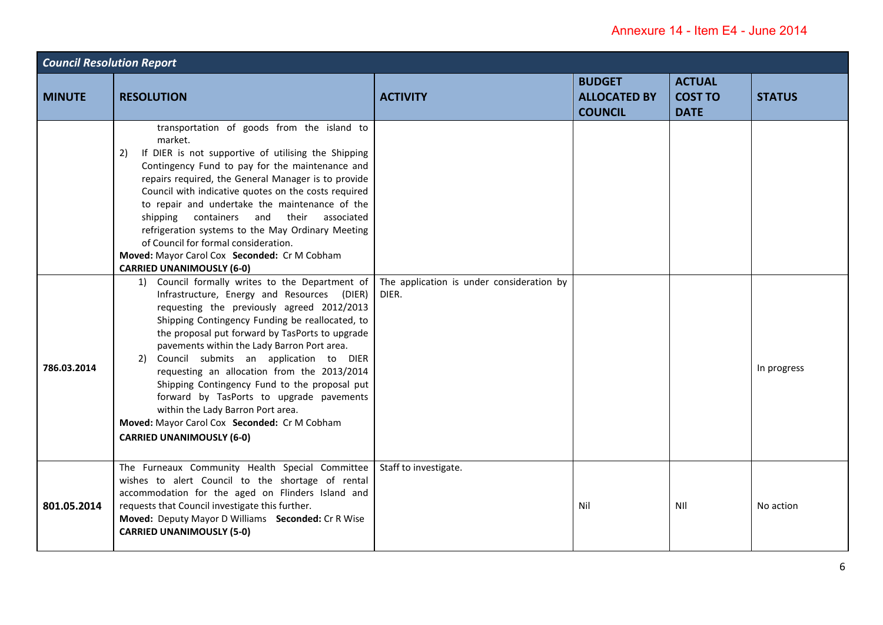| <b>Council Resolution Report</b> |                                                                                                                                                                                                                                                                                                                                                                                                                                                                                                                                                                                                                                                                                                                                                                                                                                                                                                                                                                                                                                                                                                                                                                                            |                                                    |                                                        |                                                |               |  |
|----------------------------------|--------------------------------------------------------------------------------------------------------------------------------------------------------------------------------------------------------------------------------------------------------------------------------------------------------------------------------------------------------------------------------------------------------------------------------------------------------------------------------------------------------------------------------------------------------------------------------------------------------------------------------------------------------------------------------------------------------------------------------------------------------------------------------------------------------------------------------------------------------------------------------------------------------------------------------------------------------------------------------------------------------------------------------------------------------------------------------------------------------------------------------------------------------------------------------------------|----------------------------------------------------|--------------------------------------------------------|------------------------------------------------|---------------|--|
| <b>MINUTE</b>                    | <b>RESOLUTION</b>                                                                                                                                                                                                                                                                                                                                                                                                                                                                                                                                                                                                                                                                                                                                                                                                                                                                                                                                                                                                                                                                                                                                                                          | <b>ACTIVITY</b>                                    | <b>BUDGET</b><br><b>ALLOCATED BY</b><br><b>COUNCIL</b> | <b>ACTUAL</b><br><b>COST TO</b><br><b>DATE</b> | <b>STATUS</b> |  |
| 786.03.2014                      | transportation of goods from the island to<br>market.<br>If DIER is not supportive of utilising the Shipping<br>2)<br>Contingency Fund to pay for the maintenance and<br>repairs required, the General Manager is to provide<br>Council with indicative quotes on the costs required<br>to repair and undertake the maintenance of the<br>shipping containers and their associated<br>refrigeration systems to the May Ordinary Meeting<br>of Council for formal consideration.<br>Moved: Mayor Carol Cox Seconded: Cr M Cobham<br><b>CARRIED UNANIMOUSLY (6-0)</b><br>1) Council formally writes to the Department of<br>Infrastructure, Energy and Resources (DIER)<br>requesting the previously agreed 2012/2013<br>Shipping Contingency Funding be reallocated, to<br>the proposal put forward by TasPorts to upgrade<br>pavements within the Lady Barron Port area.<br>2) Council submits an application to DIER<br>requesting an allocation from the 2013/2014<br>Shipping Contingency Fund to the proposal put<br>forward by TasPorts to upgrade pavements<br>within the Lady Barron Port area.<br>Moved: Mayor Carol Cox Seconded: Cr M Cobham<br><b>CARRIED UNANIMOUSLY (6-0)</b> | The application is under consideration by<br>DIER. |                                                        |                                                | In progress   |  |
| 801.05.2014                      | The Furneaux Community Health Special Committee<br>wishes to alert Council to the shortage of rental<br>accommodation for the aged on Flinders Island and<br>requests that Council investigate this further.<br>Moved: Deputy Mayor D Williams Seconded: Cr R Wise<br><b>CARRIED UNANIMOUSLY (5-0)</b>                                                                                                                                                                                                                                                                                                                                                                                                                                                                                                                                                                                                                                                                                                                                                                                                                                                                                     | Staff to investigate.                              | Nil                                                    | NII                                            | No action     |  |